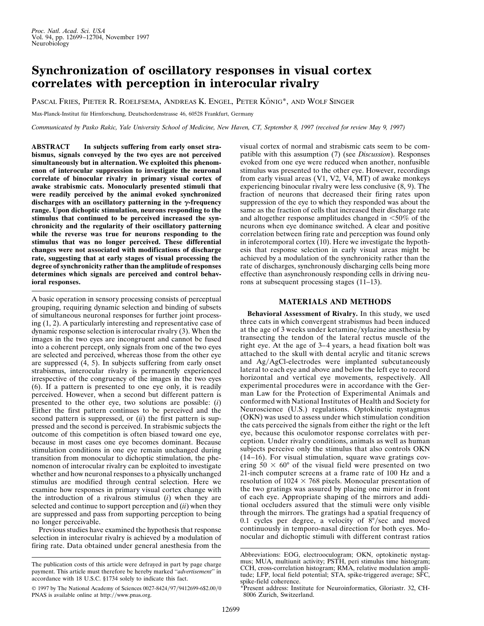## **Synchronization of oscillatory responses in visual cortex correlates with perception in interocular rivalry**

PASCAL FRIES, PIETER R. ROELFSEMA, ANDREAS K. ENGEL, PETER KÖNIG\*, AND WOLF SINGER

Max-Planck-Institut für Hirnforschung, Deutschordenstrasse 46, 60528 Frankfurt, Germany

*Communicated by Pasko Rakic, Yale University School of Medicine, New Haven, CT, September 8, 1997 (received for review May 9, 1997)*

**ABSTRACT In subjects suffering from early onset strabismus, signals conveyed by the two eyes are not perceived simultaneously but in alternation. We exploited this phenomenon of interocular suppression to investigate the neuronal correlate of binocular rivalry in primary visual cortex of awake strabismic cats. Monocularly presented stimuli that were readily perceived by the animal evoked synchronized** discharges with an oscillatory patterning in the  $\gamma$ -frequency **range. Upon dichoptic stimulation, neurons responding to the stimulus that continued to be perceived increased the synchronicity and the regularity of their oscillatory patterning while the reverse was true for neurons responding to the stimulus that was no longer perceived. These differential changes were not associated with modifications of discharge rate, suggesting that at early stages of visual processing the degree of synchronicity rather than the amplitude of responses determines which signals are perceived and control behavioral responses.**

A basic operation in sensory processing consists of perceptual grouping, requiring dynamic selection and binding of subsets of simultaneous neuronal responses for further joint processing (1, 2). A particularly interesting and representative case of dynamic response selection is interocular rivalry (3). When the images in the two eyes are incongruent and cannot be fused into a coherent percept, only signals from one of the two eyes are selected and perceived, whereas those from the other eye are suppressed (4, 5). In subjects suffering from early onset strabismus, interocular rivalry is permanently experienced irrespective of the congruency of the images in the two eyes (6). If a pattern is presented to one eye only, it is readily perceived. However, when a second but different pattern is presented to the other eye, two solutions are possible: (*i*) Either the first pattern continues to be perceived and the second pattern is suppressed, or (*ii*) the first pattern is suppressed and the second is perceived. In strabismic subjects the outcome of this competition is often biased toward one eye, because in most cases one eye becomes dominant. Because stimulation conditions in one eye remain unchanged during transition from monocular to dichoptic stimulation, the phenomenon of interocular rivalry can be exploited to investigate whether and how neuronal responses to a physically unchanged stimulus are modified through central selection. Here we examine how responses in primary visual cortex change with the introduction of a rivalrous stimulus (*i*) when they are selected and continue to support perception and (*ii*) when they are suppressed and pass from supporting perception to being no longer perceivable.

Previous studies have examined the hypothesis that response selection in interocular rivalry is achieved by a modulation of firing rate. Data obtained under general anesthesia from the

visual cortex of normal and strabismic cats seem to be compatible with this assumption (7) (see *Discussion*). Responses evoked from one eye were reduced when another, nonfusible stimulus was presented to the other eye. However, recordings from early visual areas (V1, V2, V4, MT) of awake monkeys experiencing binocular rivalry were less conclusive (8, 9). The fraction of neurons that decreased their firing rates upon suppression of the eye to which they responded was about the same as the fraction of cells that increased their discharge rate and altogether response amplitudes changed in  $\leq 50\%$  of the neurons when eye dominance switched. A clear and positive correlation between firing rate and perception was found only in inferotemporal cortex (10). Here we investigate the hypothesis that response selection in early visual areas might be achieved by a modulation of the synchronicity rather than the rate of discharges, synchronously discharging cells being more effective than asynchronously responding cells in driving neurons at subsequent processing stages (11–13).

## **MATERIALS AND METHODS**

**Behavioral Assessment of Rivalry.** In this study, we used three cats in which convergent strabismus had been induced at the age of 3 weeks under ketamine/xylazine anesthesia by transecting the tendon of the lateral rectus muscle of the right eye. At the age of 3–4 years, a head fixation bolt was attached to the skull with dental acrylic and titanic screws and Ag/AgCl-electrodes were implanted subcutaneously lateral to each eye and above and below the left eye to record horizontal and vertical eye movements, respectively. All experimental procedures were in accordance with the German Law for the Protection of Experimental Animals and conformed with National Institutes of Health and Society for Neuroscience (U.S.) regulations. Optokinetic nystagmus (OKN) was used to assess under which stimulation condition the cats perceived the signals from either the right or the left eye, because this oculomotor response correlates with perception. Under rivalry conditions, animals as well as human subjects perceive only the stimulus that also controls OKN (14–16). For visual stimulation, square wave gratings covering  $50 \times 60^{\circ}$  of the visual field were presented on two 21-inch computer screens at a frame rate of 100 Hz and a resolution of  $1024 \times 768$  pixels. Monocular presentation of the two gratings was assured by placing one mirror in front of each eye. Appropriate shaping of the mirrors and additional occluders assured that the stimuli were only visible through the mirrors. The gratings had a spatial frequency of 0.1 cycles per degree, a velocity of  $8^{\circ}/sec$  and moved continuously in temporo-nasal direction for both eyes. Monocular and dichoptic stimuli with different contrast ratios

The publication costs of this article were defrayed in part by page charge payment. This article must therefore be hereby marked ''*advertisement*'' in accordance with 18 U.S.C. §1734 solely to indicate this fact.

<sup>© 1997</sup> by The National Academy of Sciences 0027-8424/97/9412699-6\$2.00/0 PNAS is available online at http://www.pnas.org.

Abbreviations: EOG, electrooculogram; OKN, optokinetic nystagmus; MUA, multiunit activity; PSTH, peri stimulus time histogram; CCH, cross-correlation histogram; RMA, relative modulation amplitude; LFP, local field potential; STA, spike-triggered average; SFC, spike-field coherence.

Present address: Institute for Neuroinformatics, Gloriastr. 32, CH-8006 Zurich, Switzerland.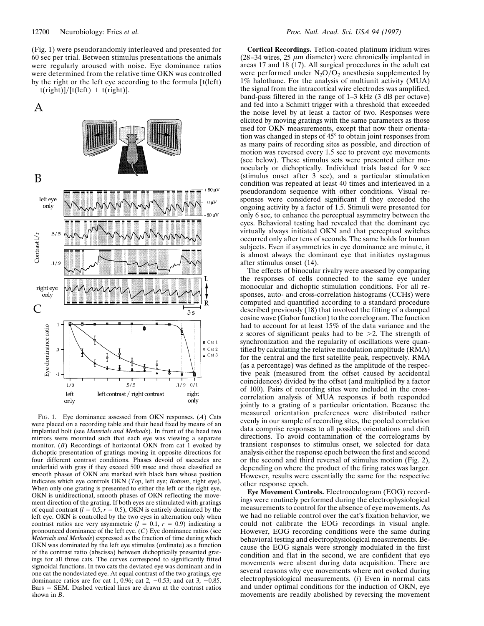(Fig. 1) were pseudorandomly interleaved and presented for 60 sec per trial. Between stimulus presentations the animals were regularly aroused with noise. Eye dominance ratios were determined from the relative time OKN was controlled by the right or the left eye according to the formula [t(left)  $-$  t(right)]/[t(left) + t(right)].





FIG. 1. Eye dominance assessed from OKN responses. (*A*) Cats were placed on a recording table and their head fixed by means of an implanted bolt (see *Materials and Methods*). In front of the head two mirrors were mounted such that each eye was viewing a separate monitor. (*B*) Recordings of horizontal OKN from cat 1 evoked by dichoptic presentation of gratings moving in opposite directions for four different contrast conditions. Phases devoid of saccades are underlaid with gray if they exceed 500 msec and those classified as smooth phases of OKN are marked with black bars whose position indicates which eye controls OKN (*Top*, left eye; *Bottom*, right eye). When only one grating is presented to either the left or the right eye, OKN is unidirectional, smooth phases of OKN reflecting the movement direction of the grating. If both eyes are stimulated with gratings of equal contrast  $(l = 0.5, r = 0.5)$ , OKN is entirely dominated by the left eye. OKN is controlled by the two eyes in alternation only when contrast ratios are very asymmetric  $(l = 0.1, r = 0.9)$  indicating a pronounced dominance of the left eye. (*C*) Eye dominance ratios (see *Materials and Methods*) expressed as the fraction of time during which OKN was dominated by the left eye stimulus (ordinate) as a function of the contrast ratio (abscissa) between dichoptically presented gratings for all three cats. The curves correspond to significantly fitted sigmoidal functions. In two cats the deviated eye was dominant and in one cat the nondeviated eye. At equal contrast of the two gratings, eye dominance ratios are for cat 1, 0.96; cat 2,  $-0.53$ ; and cat 3,  $-0.85$ .  $Bars = SEM$ . Dashed vertical lines are drawn at the contrast ratios shown in *B*.

**Cortical Recordings.** Teflon-coated platinum iridium wires (28–34 wires, 25  $\mu$ m diameter) were chronically implanted in areas 17 and 18 (17). All surgical procedures in the adult cat were performed under  $N_2O/O_2$  anesthesia supplemented by 1% halothane. For the analysis of multiunit activity (MUA) the signal from the intracortical wire electrodes was amplified, band-pass filtered in the range of 1–3 kHz (3 dB per octave) and fed into a Schmitt trigger with a threshold that exceeded the noise level by at least a factor of two. Responses were elicited by moving gratings with the same parameters as those used for OKN measurements, except that now their orientation was changed in steps of 45° to obtain joint responses from as many pairs of recording sites as possible, and direction of motion was reversed every 1.5 sec to prevent eye movements (see below). These stimulus sets were presented either monocularly or dichoptically. Individual trials lasted for 9 sec (stimulus onset after 3 sec), and a particular stimulation condition was repeated at least 40 times and interleaved in a pseudorandom sequence with other conditions. Visual responses were considered significant if they exceeded the ongoing activity by a factor of 1.5. Stimuli were presented for only 6 sec, to enhance the perceptual asymmetry between the eyes. Behavioral testing had revealed that the dominant eye virtually always initiated OKN and that perceptual switches occurred only after tens of seconds. The same holds for human subjects. Even if asymmetries in eye dominance are minute, it is almost always the dominant eye that initiates nystagmus after stimulus onset (14).

The effects of binocular rivalry were assessed by comparing the responses of cells connected to the same eye under monocular and dichoptic stimulation conditions. For all responses, auto- and cross-correlation histograms (CCHs) were computed and quantified according to a standard procedure described previously (18) that involved the fitting of a damped cosine wave (Gabor function) to the correlogram. The function had to account for at least 15% of the data variance and the z scores of significant peaks had to be  $\geq$  2. The strength of synchronization and the regularity of oscillations were quantified by calculating the relative modulation amplitude (RMA) for the central and the first satellite peak, respectively. RMA (as a percentage) was defined as the amplitude of the respective peak (measured from the offset caused by accidental coincidences) divided by the offset (and multiplied by a factor of 100). Pairs of recording sites were included in the crosscorrelation analysis of MUA responses if both responded jointly to a grating of a particular orientation. Because the measured orientation preferences were distributed rather evenly in our sample of recording sites, the pooled correlation data comprise responses to all possible orientations and drift directions. To avoid contamination of the correlograms by transient responses to stimulus onset, we selected for data analysis either the response epoch between the first and second or the second and third reversal of stimulus motion (Fig. 2), depending on where the product of the firing rates was larger. However, results were essentially the same for the respective other response epoch.

**Eye Movement Controls.** Electrooculogram (EOG) recordings were routinely performed during the electrophysiological measurements to control for the absence of eye movements. As we had no reliable control over the cat's fixation behavior, we could not calibrate the EOG recordings in visual angle. However, EOG recording conditions were the same during behavioral testing and electrophysiological measurements. Because the EOG signals were strongly modulated in the first condition and flat in the second, we are confident that eye movements were absent during data acquisition. There are several reasons why eye movements where not evoked during electrophysiological measurements. (*i*) Even in normal cats and under optimal conditions for the induction of OKN, eye movements are readily abolished by reversing the movement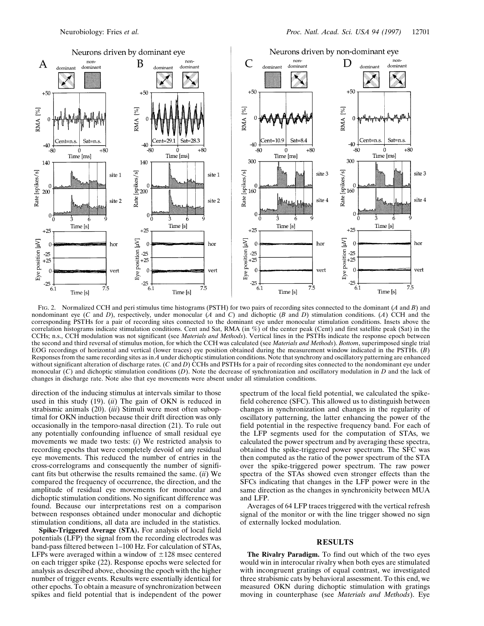

FIG. 2. Normalized CCH and peri stimulus time histograms (PSTH) for two pairs of recording sites connected to the dominant (*A* and *B*) and nondominant eye (*C* and *D*), respectively, under monocular (*A* and *C*) and dichoptic (*B* and *D*) stimulation conditions. (*A*) CCH and the corresponding PSTHs for a pair of recording sites connected to the dominant eye under monocular stimulation conditions. Insets above the correlation histograms indicate stimulation conditions. Cent and Sat, RMA (in %) of the center peak (Cent) and first satellite peak (Sat) in the CCHs; n.s., CCH modulation was not significant (see *Materials and Methods*). Vertical lines in the PSTHs indicate the response epoch between the second and third reversal of stimulus motion, for which the CCH was calculated (see *Materials and Methods*). *Bottom*, superimposed single trial EOG recordings of horizontal and vertical (lower traces) eye position obtained during the measurement window indicated in the PSTHs. (*B*) Responses from the same recording sites as in *A* under dichoptic stimulation conditions. Note that synchrony and oscillatory patterning are enhanced without significant alteration of discharge rates. (*C* and *D*) CCHs and PSTHs for a pair of recording sites connected to the nondominant eye under monocular (*C*) and dichoptic stimulation conditions (*D*). Note the decrease of synchronization and oscillatory modulation in *D* and the lack of changes in discharge rate. Note also that eye movements were absent under all stimulation conditions.

direction of the inducing stimulus at intervals similar to those used in this study (19). (*ii*) The gain of OKN is reduced in strabismic animals (20). (*iii*) Stimuli were most often suboptimal for OKN induction because their drift direction was only occasionally in the temporo-nasal direction (21). To rule out any potentially confounding influence of small residual eye movements we made two tests: (*i*) We restricted analysis to recording epochs that were completely devoid of any residual eye movements. This reduced the number of entries in the cross-correlograms and consequently the number of significant fits but otherwise the results remained the same. (*ii*) We compared the frequency of occurrence, the direction, and the amplitude of residual eye movements for monocular and dichoptic stimulation conditions. No significant difference was found. Because our interpretations rest on a comparison between responses obtained under monocular and dichoptic stimulation conditions, all data are included in the statistics.

**Spike-Triggered Average (STA).** For analysis of local field potentials (LFP) the signal from the recording electrodes was band-pass filtered between 1–100 Hz. For calculation of STAs, LFPs were averaged within a window of  $\pm 128$  msec centered on each trigger spike (22). Response epochs were selected for analysis as described above, choosing the epoch with the higher number of trigger events. Results were essentially identical for other epochs. To obtain a measure of synchronization between spikes and field potential that is independent of the power spectrum of the local field potential, we calculated the spikefield coherence (SFC). This allowed us to distinguish between changes in synchronization and changes in the regularity of oscillatory patterning, the latter enhancing the power of the field potential in the respective frequency band. For each of the LFP segments used for the computation of STAs, we calculated the power spectrum and by averaging these spectra, obtained the spike-triggered power spectrum. The SFC was then computed as the ratio of the power spectrum of the STA over the spike-triggered power spectrum. The raw power spectra of the STAs showed even stronger effects than the SFCs indicating that changes in the LFP power were in the same direction as the changes in synchronicity between MUA and LFP.

Averages of 64 LFP traces triggered with the vertical refresh signal of the monitor or with the line trigger showed no sign of externally locked modulation.

## **RESULTS**

**The Rivalry Paradigm.** To find out which of the two eyes would win in interocular rivalry when both eyes are stimulated with incongruent gratings of equal contrast, we investigated three strabismic cats by behavioral assessment. To this end, we measured OKN during dichoptic stimulation with gratings moving in counterphase (see *Materials and Methods*). Eye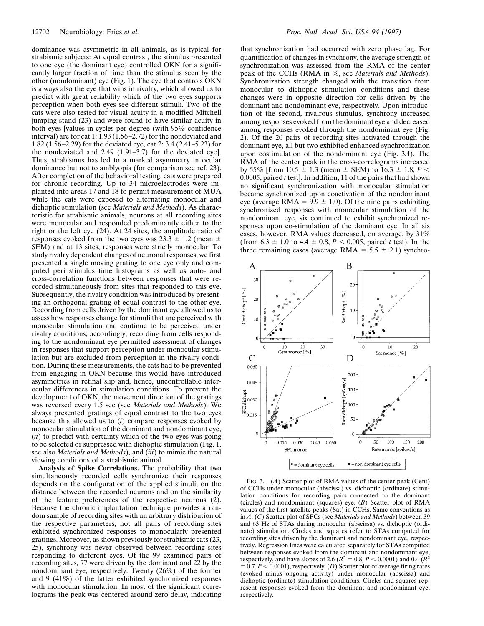dominance was asymmetric in all animals, as is typical for strabismic subjects: At equal contrast, the stimulus presented to one eye (the dominant eye) controlled OKN for a significantly larger fraction of time than the stimulus seen by the other (nondominant) eye (Fig. 1). The eye that controls OKN is always also the eye that wins in rivalry, which allowed us to predict with great reliability which of the two eyes supports perception when both eyes see different stimuli. Two of the cats were also tested for visual acuity in a modified Mitchell jumping stand (23) and were found to have similar acuity in both eyes [values in cycles per degree (with 95% confidence interval) are for cat 1: 1.93 ( $1.56-2.72$ ) for the nondeviated and 1.82 (1.56–2.29) for the deviated eye, cat 2: 3.4 (2.41–5.23) for the nondeviated and 2.49 (1.91–3.7) for the deviated eye]. Thus, strabismus has led to a marked asymmetry in ocular dominance but not to amblyopia (for comparison see ref. 23). After completion of the behavioral testing, cats were prepared for chronic recording. Up to 34 microelectrodes were implanted into areas 17 and 18 to permit measurement of MUA while the cats were exposed to alternating monocular and dichoptic stimulation (see *Materials and Methods*). As characteristic for strabismic animals, neurons at all recording sites were monocular and responded predominantly either to the right or the left eye (24). At 24 sites, the amplitude ratio of responses evoked from the two eyes was  $23.3 \pm 1.2$  (mean  $\pm$ SEM) and at 13 sites, responses were strictly monocular. To study rivalry dependent changes of neuronal responses, we first presented a single moving grating to one eye only and computed peri stimulus time histograms as well as auto- and cross-correlation functions between responses that were recorded simultaneously from sites that responded to this eye. Subsequently, the rivalry condition was introduced by presenting an orthogonal grating of equal contrast to the other eye. Recording from cells driven by the dominant eye allowed us to assess how responses change for stimuli that are perceived with monocular stimulation and continue to be perceived under rivalry conditions; accordingly, recording from cells responding to the nondominant eye permitted assessment of changes in responses that support perception under monocular stimulation but are excluded from perception in the rivalry condition. During these measurements, the cats had to be prevented from engaging in OKN because this would have introduced asymmetries in retinal slip and, hence, uncontrollable interocular differences in stimulation conditions. To prevent the development of OKN, the movement direction of the gratings was reversed every 1.5 sec (see *Materials and Methods*). We always presented gratings of equal contrast to the two eyes because this allowed us to (*i*) compare responses evoked by monocular stimulation of the dominant and nondominant eye, (*ii*) to predict with certainty which of the two eyes was going to be selected or suppressed with dichoptic stimulation (Fig. 1, see also *Materials and Methods*), and (*iii*) to mimic the natural viewing conditions of a strabismic animal.

**Analysis of Spike Correlations.** The probability that two simultaneously recorded cells synchronize their responses depends on the configuration of the applied stimuli, on the distance between the recorded neurons and on the similarity of the feature preferences of the respective neurons (2). Because the chronic implantation technique provides a random sample of recording sites with an arbitrary distribution of the respective parameters, not all pairs of recording sites exhibited synchronized responses to monocularly presented gratings. Moreover, as shown previously for strabismic cats (23, 25), synchrony was never observed between recording sites responding to different eyes. Of the 99 examined pairs of recording sites, 77 were driven by the dominant and 22 by the nondominant eye, respectively. Twenty (26%) of the former and 9 (41%) of the latter exhibited synchronized responses with monocular stimulation. In most of the significant correlograms the peak was centered around zero delay, indicating that synchronization had occurred with zero phase lag. For quantification of changes in synchrony, the average strength of synchronization was assessed from the RMA of the center peak of the CCHs (RMA in %, see *Materials and Methods*). Synchronization strength changed with the transition from monocular to dichoptic stimulation conditions and these changes were in opposite direction for cells driven by the dominant and nondominant eye, respectively. Upon introduction of the second, rivalrous stimulus, synchrony increased among responses evoked from the dominant eye and decreased among responses evoked through the nondominant eye (Fig. 2). Of the 20 pairs of recording sites activated through the dominant eye, all but two exhibited enhanced synchronization upon costimulation of the nondominant eye (Fig. 3*A*). The RMA of the center peak in the cross-correlograms increased by 55% [from 10.5  $\pm$  1.3 (mean  $\pm$  SEM) to 16.3  $\pm$  1.8, *P* < 0.0005, paired *t* test]. In addition, 11 of the pairs that had shown no significant synchronization with monocular stimulation became synchronized upon coactivation of the nondominant eye (average RMA =  $9.9 \pm 1.0$ ). Of the nine pairs exhibiting synchronized responses with monocular stimulation of the nondominant eye, six continued to exhibit synchronized responses upon co-stimulation of the dominant eye. In all six cases, however, RMA values decreased, on average, by 31% (from  $6.3 \pm 1.0$  to  $4.4 \pm 0.8$ ,  $P < 0.005$ , paired *t* test). In the three remaining cases (average RMA =  $5.5 \pm 2.1$ ) synchro-



FIG. 3. (*A*) Scatter plot of RMA values of the center peak (Cent) of CCHs under monocular (abscissa) vs. dichoptic (ordinate) stimulation conditions for recording pairs connected to the dominant (circles) and nondominant (squares) eye. (*B*) Scatter plot of RMA values of the first satellite peaks (Sat) in CCHs. Same conventions as in *A*. (*C*) Scatter plot of SFCs (see *Materials and Methods*) between 39 and 63 Hz of STAs during monocular (abscissa) vs. dichoptic (ordinate) stimulation. Circles and squares refer to STAs computed for recording sites driven by the dominant and nondominant eye, respectively. Regression lines were calculated separately for STAs computed between responses evoked from the dominant and nondominant eye, respectively, and have slopes of 2.6 ( $R^2 = 0.8$ ,  $P < 0.0001$ ) and 0.4 ( $R^2$ )  $= 0.7, P < 0.0001$ , respectively. (*D*) Scatter plot of average firing rates (evoked minus ongoing activity) under monocular (abscissa) and dichoptic (ordinate) stimulation conditions. Circles and squares represent responses evoked from the dominant and nondominant eye, respectively.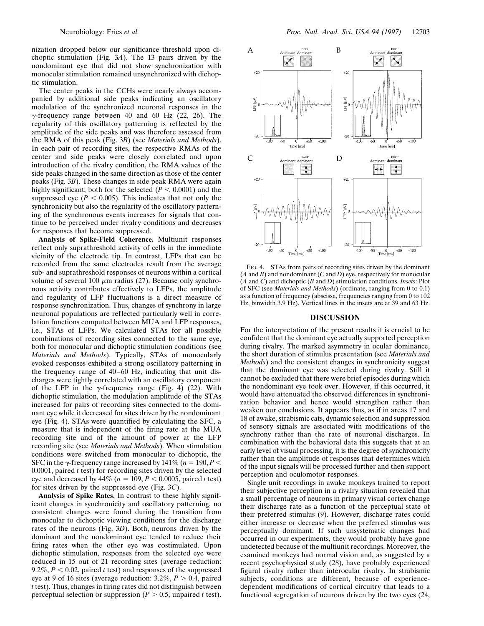nization dropped below our significance threshold upon dichoptic stimulation (Fig. 3*A*). The 13 pairs driven by the nondominant eye that did not show synchronization with monocular stimulation remained unsynchronized with dichoptic stimulation.

The center peaks in the CCHs were nearly always accompanied by additional side peaks indicating an oscillatory modulation of the synchronized neuronal responses in the  $\gamma$ -frequency range between 40 and 60 Hz (22, 26). The regularity of this oscillatory patterning is reflected by the amplitude of the side peaks and was therefore assessed from the RMA of this peak (Fig. 3*B*) (see *Materials and Methods*). In each pair of recording sites, the respective RMAs of the center and side peaks were closely correlated and upon introduction of the rivalry condition, the RMA values of the side peaks changed in the same direction as those of the center peaks (Fig. 3*B*). These changes in side peak RMA were again highly significant, both for the selected  $(P < 0.0001)$  and the suppressed eye ( $P < 0.005$ ). This indicates that not only the synchronicity but also the regularity of the oscillatory patterning of the synchronous events increases for signals that continue to be perceived under rivalry conditions and decreases for responses that become suppressed.

**Analysis of Spike-Field Coherence.** Multiunit responses reflect only suprathreshold activity of cells in the immediate vicinity of the electrode tip. In contrast, LFPs that can be recorded from the same electrodes result from the average sub- and suprathreshold responses of neurons within a cortical volume of several 100  $\mu$ m radius (27). Because only synchronous activity contributes effectively to LFPs, the amplitude and regularity of LFP fluctuations is a direct measure of response synchronization. Thus, changes of synchrony in large neuronal populations are reflected particularly well in correlation functions computed between MUA and LFP responses, i.e., STAs of LFPs. We calculated STAs for all possible combinations of recording sites connected to the same eye, both for monocular and dichoptic stimulation conditions (see *Materials and Methods*). Typically, STAs of monocularly evoked responses exhibited a strong oscillatory patterning in the frequency range of 40–60 Hz, indicating that unit discharges were tightly correlated with an oscillatory component of the LFP in the  $\gamma$ -frequency range (Fig. 4) (22). With dichoptic stimulation, the modulation amplitude of the STAs increased for pairs of recording sites connected to the dominant eye while it decreased for sites driven by the nondominant eye (Fig. 4). STAs were quantified by calculating the SFC, a measure that is independent of the firing rate at the MUA recording site and of the amount of power at the LFP recording site (see *Materials and Methods*). When stimulation conditions were switched from monocular to dichoptic, the SFC in the  $\gamma$ -frequency range increased by 141\% (*n* = 190, *P* < 0.0001, paired *t* test) for recording sites driven by the selected eye and decreased by  $44\%$  ( $n = 109, P < 0.0005$ , paired *t* test) for sites driven by the suppressed eye (Fig. 3*C*).

**Analysis of Spike Rates.** In contrast to these highly significant changes in synchronicity and oscillatory patterning, no consistent changes were found during the transition from monocular to dichoptic viewing conditions for the discharge rates of the neurons (Fig. 3*D*). Both, neurons driven by the dominant and the nondominant eye tended to reduce their firing rates when the other eye was costimulated. Upon dichoptic stimulation, responses from the selected eye were reduced in 15 out of 21 recording sites (average reduction: 9.2%,  $P < 0.02$ , paired *t* test) and responses of the suppressed eye at 9 of 16 sites (average reduction:  $3.2\%, P > 0.4$ , paired *t* test). Thus, changes in firing rates did not distinguish between perceptual selection or suppression ( $P > 0.5$ , unpaired *t* test).



FIG. 4. STAs from pairs of recording sites driven by the dominant (*A* and *B*) and nondominant (*C* and *D*) eye, respectively for monocular (*A* and *C*) and dichoptic (*B* and *D*) stimulation conditions. *Insets*: Plot of SFC (see *Materials and Methods*) (ordinate, ranging from 0 to 0.1) as a function of frequency (abscissa, frequencies ranging from 0 to 102 Hz, binwidth 3.9 Hz). Vertical lines in the insets are at 39 and 63 Hz.

## **DISCUSSION**

For the interpretation of the present results it is crucial to be confident that the dominant eye actually supported perception during rivalry. The marked asymmetry in ocular dominance, the short duration of stimulus presentation (see *Materials and Methods*) and the consistent changes in synchronicity suggest that the dominant eye was selected during rivalry. Still it cannot be excluded that there were brief episodes during which the nondominant eye took over. However, if this occurred, it would have attenuated the observed differences in synchronization behavior and hence would strengthen rather than weaken our conclusions. It appears thus, as if in areas 17 and 18 of awake, strabismic cats, dynamic selection and suppression of sensory signals are associated with modifications of the synchrony rather than the rate of neuronal discharges. In combination with the behavioral data this suggests that at an early level of visual processing, it is the degree of synchronicity rather than the amplitude of responses that determines which of the input signals will be processed further and then support perception and oculomotor responses.

Single unit recordings in awake monkeys trained to report their subjective perception in a rivalry situation revealed that a small percentage of neurons in primary visual cortex change their discharge rate as a function of the perceptual state of their preferred stimulus (9). However, discharge rates could either increase or decrease when the preferred stimulus was perceptually dominant. If such unsystematic changes had occurred in our experiments, they would probably have gone undetected because of the multiunit recordings. Moreover, the examined monkeys had normal vision and, as suggested by a recent psychophysical study (28), have probably experienced figural rivalry rather than interocular rivalry. In strabismic subjects, conditions are different, because of experiencedependent modifications of cortical circuitry that leads to a functional segregation of neurons driven by the two eyes (24,